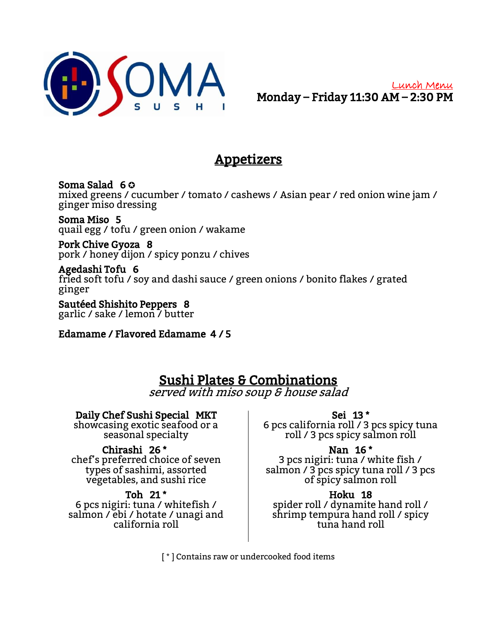

# Appetizers

Soma Salad 6 ✪ mixed greens / cucumber / tomato / cashews / Asian pear / red onion wine jam / ginger miso dressing

 Soma Miso 5 quail egg / tofu / green onion / wakame

-<br>Pork Chive Gyoza 8 pork / honey dijon / spicy ponzu / chives

-<br>Agedashi Tofu 6 fried soft tofu / soy and dashi sauce / green onions / bonito flakes / grated ginger

Sautéed Shishito Peppers 8 garlic / sake / lemon / butter

Edamame / Flavored Edamame 4 / 5

# Sushi Plates & Combinations

served with miso soup & house salad

## Daily Chef Sushi Special MKT

showcasing exotic seafood or a seasonal specialty

## Chirashi 26 \*

chef's preferred choice of seven types of sashimi, assorted vegetables, and sushi rice

### Toh 21 \*

6 pcs nigiri: tuna / whitefish / salmon / ebi / hotate / unagi and california roll

Sei 13 \*

6 pcs california roll / 3 pcs spicy tuna roll / 3 pcs spicy salmon roll

# Nan 16 \*

3 pcs nigiri: tuna / white fish / salmon / 3 pcs spicy tuna roll / 3 pcs of spicy salmon roll

### Hoku 18

spider roll / dynamite hand roll / shrimp tempura hand roll / spicy tuna hand roll

[ \* ] Contains raw or undercooked food items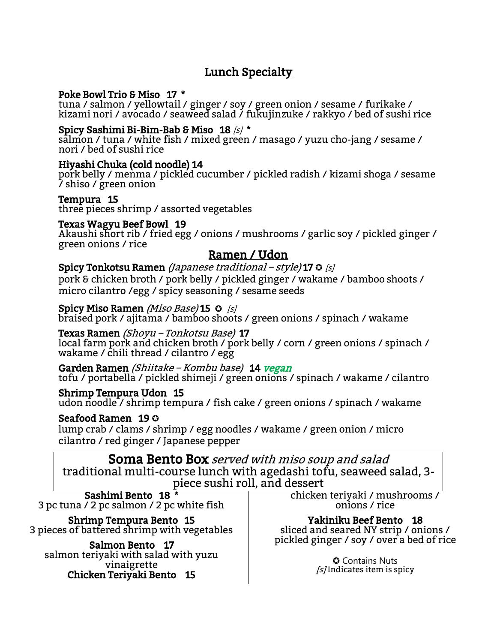### Lunch Specialty Ī

#### Poke Bowl Trio & Miso 17 \*

tuna / salmon / yellowtail / ginger / soy / green onion / sesame / furikake / kizami nori / avocado / seaweed salad / fukujinzuke / rakkyo / bed of sushi rice

# Spicy Sashimi Bi-Bim-Bab & Miso  $18$  /s/  $^{\star}$

salmon / tuna / white fish / mixed green / masago / yuzu cho-jang / sesame / nori / bed of sushi rice

### Hiyashi Chuka (cold noodle) 14

pork belly / menma / pickled cucumber / pickled radish / kizami shoga / sesame / shiso / green onion

## Tempura 15

three pieces shrimp / assorted vegetables

## Texas Wagyu Beef Bowl 19

Akaushi short rib / fried egg / onions / mushrooms / garlic soy / pickled ginger / green onions / rice

### Ramen / Udon

Spicy Tonkotsu Ramen (Japanese traditional – style) 17  $\odot$  [s] pork & chicken broth / pork belly / pickled ginger / wakame / bamboo shoots / micro cilantro /egg / spicy seasoning / sesame seeds

#### Spicy Miso Ramen *(Miso Base)* 15 ↔ *[s]*

braised pork / ajitama / bamboo shoots / green onions / spinach / wakame

### Texas Ramen (Shoyu – Tonkotsu Base) 17

local farm pork and chicken broth / pork belly / corn / green onions / spinach / wakame / chili thread / cilantro / egg

Garden Ramen *(Shiitake – Kombu base)* 14 *vegan* tofu / portabella / pickled shimeji / green onions / spinach / wakame / cilantro

# Shrimp Tempura Udon 15

udon noodle / shrimp tempura / fish cake / green onions / spinach / wakame

### Seafood Ramen 19 ✪

lump crab / clams / shrimp / egg noodles / wakame / green onion / micro cilantro / red ginger / Japanese pepper

Soma Bento Box served with miso soup and salad traditional multi-course lunch with agedashi tofu, seaweed salad, 3 piece sushi roll, and dessert

Sashimi Bento 18 \* 3 pc tuna / 2 pc salmon / 2 pc white fish

 Shrimp Tempura Bento 15 3 pieces of battered shrimp with vegetables

 Salmon Bento 17 salmon teriyaki with salad with yuzu vinaigrette Chicken Teriyaki Bento 15

chicken teriyaki / mushrooms / onions / rice

 Yakiniku Beef Bento 18 sliced and seared NY strip / onions / pickled ginger / soy / over a bed of rice

> ✪ Contains Nuts  $[s]$ Indicates item is spicy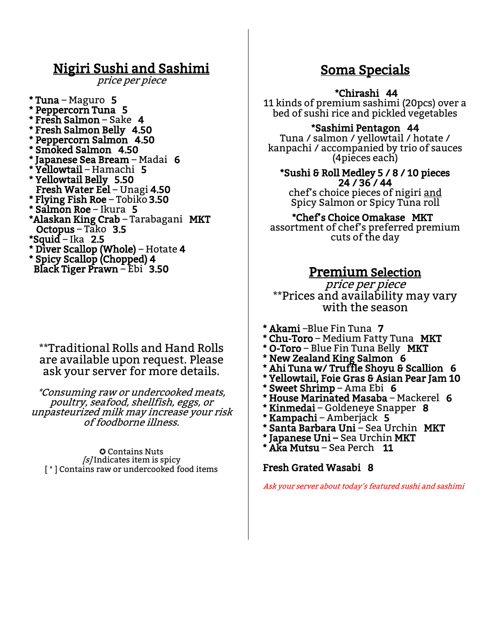# Nigiri Sushi and Sashimi

price per piece

\* Tuna – Maguro 5 \* Peppercorn Tuna 5 \* Fresh Salmon – Sake 4 \* Fresh Salmon Belly 4.50 \* Peppercorn Salmon 4.50 Smoked Salmon 4.50 \* Japanese Sea Bream – Madai 6 \* Yellowtail – Hamachi 5 \* Yellowtail Belly 5.50 Fresh Water Eel – Unagi 4.50 \* Flying Fish Roe – Tobiko 3.50 \* Salmon Roe – Ikura 5 \*Alaskan King Crab – Tarabagani MKT Octopus – Tako 3.5 \*Squid – Ika 2.5 \* Diver Scallop (Whole) – Hotate 4 \* Spicy Scallop (Chopped) 4 Black Tiger Prawn – Ebi 3.50

### \*\*Traditional Rolls and Hand Rolls are available upon request. Please ask your server for more details.

\*Consuming raw or undercooked meats, poultry, seafood, shellfish, eggs, or unpasteurized milk may increase your risk of foodborne illness.

✪ Contains Nuts  $[s]$  Indicates item is spicy [\*] Contains raw or undercooked food items

# Soma Specials

#### Ĩ \*Chirashi 44

11 kinds of premium sashimi (20pcs) over a bed of sushi rice and pickled vegetables

## \*Sashimi Pentagon 44

Tuna / salmon / yellowtail / hotate / kanpachi / accompanied by trio of sauces (4pieces each)

\*Sushi & Roll Medley 5 / 8 / 10 pieces 24 / 36 / 44 chef's choice pieces of nigiri and Spicy Salmon or Spicy Tuna roll

## \*Chef's Choice Omakase MKT

assortment of chef's preferred premium cuts of the day

## Premium Selection

price per piece \*\*Prices and availability may vary with the season

- \* Akami –Blue Fin Tuna 7
- \* Chu-Toro Medium Fatty Tuna MKT
- \* O-Toro Blue Fin Tuna Belly MKT
- \* New Zealand King Salmon 6
- Ahi Tuna w/ Truffle Shoyu & Scallion 6
- \* Yellowtail, Foie Gras & Asian Pear Jam 10
- \* Sweet Shrimp Ama Ebi 6
- House Marinated Masaba Mackerel  $6$
- Kinmedai Goldeneye Snapper 8
- \* Kampachi Amberjack 5
- \* Santa Barbara Uni Sea Urchin MKT
- \* Japanese Uni Sea Urchin MKT
- Aka Mutsu Sea Perch 11

#### Fresh Grated Wasabi 8

I

Ask your server about today's featured sushi and sashimi